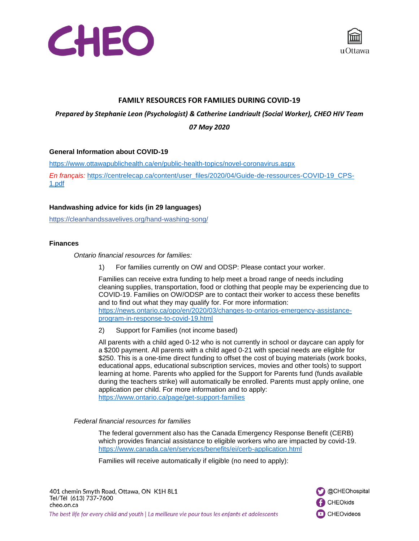



# **FAMILY RESOURCES FOR FAMILIES DURING COVID-19**

*Prepared by Stephanie Leon (Psychologist) & Catherine Landriault (Social Worker), CHEO HIV Team 07 May 2020*

#### **General Information about COVID-19**

<https://www.ottawapublichealth.ca/en/public-health-topics/novel-coronavirus.aspx> *En français:* [https://centrelecap.ca/content/user\\_files/2020/04/Guide-de-ressources-COVID-19\\_CPS-](https://centrelecap.ca/content/user_files/2020/04/Guide-de-ressources-COVID-19_CPS-1.pdf)[1.pdf](https://centrelecap.ca/content/user_files/2020/04/Guide-de-ressources-COVID-19_CPS-1.pdf)

### **Handwashing advice for kids (in 29 languages)**

<https://cleanhandssavelives.org/hand-washing-song/>

### **Finances**

*Ontario financial resources for families:*

1) For families currently on OW and ODSP: Please contact your worker.

Families can receive extra funding to help meet a broad range of needs including cleaning supplies, transportation, food or clothing that people may be experiencing due to COVID-19. Families on OW/ODSP are to contact their worker to access these benefits and to find out what they may qualify for. For more information: [https://news.ontario.ca/opo/en/2020/03/changes-to-ontarios-emergency-assistance](https://news.ontario.ca/opo/en/2020/03/changes-to-ontarios-emergency-assistance-program-in-response-to-covid-19.html)[program-in-response-to-covid-19.html](https://news.ontario.ca/opo/en/2020/03/changes-to-ontarios-emergency-assistance-program-in-response-to-covid-19.html)

2) Support for Families (not income based)

All parents with a child aged 0-12 who is not currently in school or daycare can apply for a \$200 payment. All parents with a child aged 0-21 with special needs are eligible for \$250. This is a one-time direct funding to offset the cost of buying materials (work books, educational apps, educational subscription services, movies and other tools) to support learning at home. Parents who applied for the Support for Parents fund (funds available during the teachers strike) will automatically be enrolled. Parents must apply online, one application per child. For more information and to apply: <https://www.ontario.ca/page/get-support-families>

### *Federal financial resources for families*

The federal government also has the Canada Emergency Response Benefit (CERB) which provides financial assistance to eligible workers who are impacted by covid-19. <https://www.canada.ca/en/services/benefits/ei/cerb-application.html>

Families will receive automatically if eligible (no need to apply):

401 chemin Smyth Road, Ottawa, ON K1H 8L1 Tel/Tél (613) 737-7600 cheo.on.ca The best life for every child and youth | La meilleure vie pour tous les enfants et adolescents

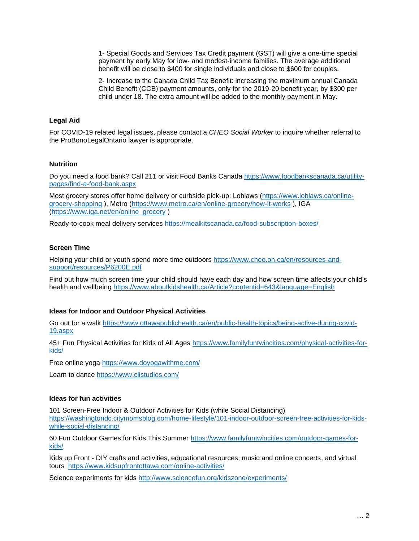1- Special Goods and Services Tax Credit payment (GST) will give a one-time special payment by early May for low- and modest-income families. The average additional benefit will be close to \$400 for single individuals and close to \$600 for couples.

2- Increase to the Canada Child Tax Benefit: increasing the maximum annual Canada Child Benefit (CCB) payment amounts, only for the 2019-20 benefit year, by \$300 per child under 18. The extra amount will be added to the monthly payment in May.

# **Legal Aid**

For COVID-19 related legal issues, please contact a *CHEO Social Worker* to inquire whether referral to the ProBonoLegalOntario lawyer is appropriate.

#### **Nutrition**

Do you need a food bank? Call 211 or visit Food Banks Canada [https://www.foodbankscanada.ca/utility](https://www.foodbankscanada.ca/utility-pages/find-a-food-bank.aspx)[pages/find-a-food-bank.aspx](https://www.foodbankscanada.ca/utility-pages/find-a-food-bank.aspx)

Most grocery stores offer home delivery or curbside pick-up: Loblaws [\(https://www.loblaws.ca/online](https://www.loblaws.ca/online-grocery-shopping)[grocery-shopping](https://www.loblaws.ca/online-grocery-shopping) ), Metro [\(https://www.metro.ca/en/online-grocery/how-it-works](https://www.metro.ca/en/online-grocery/how-it-works) ), IGA [\(https://www.iga.net/en/online\\_grocery](https://www.iga.net/en/online_grocery) )

Ready-to-cook meal delivery services<https://mealkitscanada.ca/food-subscription-boxes/>

### **Screen Time**

Helping your child or youth spend more time outdoors [https://www.cheo.on.ca/en/resources-and](https://www.cheo.on.ca/en/resources-and-support/resources/P6200E.pdf)[support/resources/P6200E.pdf](https://www.cheo.on.ca/en/resources-and-support/resources/P6200E.pdf)

Find out how much screen time your child should have each day and how screen time affects your child's health and wellbeing<https://www.aboutkidshealth.ca/Article?contentid=643&language=English>

#### **Ideas for Indoor and Outdoor Physical Activities**

Go out for a walk [https://www.ottawapublichealth.ca/en/public-health-topics/being-active-during-covid-](https://www.ottawapublichealth.ca/en/public-health-topics/being-active-during-covid-19.aspx)[19.aspx](https://www.ottawapublichealth.ca/en/public-health-topics/being-active-during-covid-19.aspx)

45+ Fun Physical Activities for Kids of All Ages [https://www.familyfuntwincities.com/physical-activities-for](https://www.familyfuntwincities.com/physical-activities-for-kids/)[kids/](https://www.familyfuntwincities.com/physical-activities-for-kids/)

Free online yoga <https://www.doyogawithme.com/>

Learn to dance<https://www.clistudios.com/>

#### **Ideas for fun activities**

101 Screen-Free Indoor & Outdoor Activities for Kids (while Social Distancing)

[https://washingtondc.citymomsblog.com/home-lifestyle/101-indoor-outdoor-screen-free-activities-for-kids](https://washingtondc.citymomsblog.com/home-lifestyle/101-indoor-outdoor-screen-free-activities-for-kids-while-social-distancing/)[while-social-distancing/](https://washingtondc.citymomsblog.com/home-lifestyle/101-indoor-outdoor-screen-free-activities-for-kids-while-social-distancing/)

60 Fun Outdoor Games for Kids This Summer [https://www.familyfuntwincities.com/outdoor-games-for](https://www.familyfuntwincities.com/outdoor-games-for-kids/)[kids/](https://www.familyfuntwincities.com/outdoor-games-for-kids/)

Kids up Front - DIY crafts and activities, educational resources, music and online concerts, and virtual tours <https://www.kidsupfrontottawa.com/online-activities/>

Science experiments for kids<http://www.sciencefun.org/kidszone/experiments/>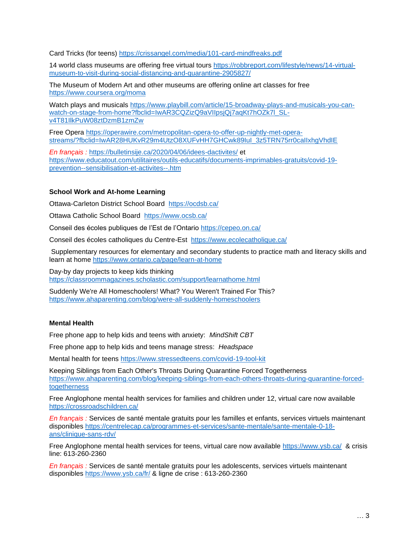Card Tricks (for teens)<https://crissangel.com/media/101-card-mindfreaks.pdf>

14 world class museums are offering free virtual tours [https://robbreport.com/lifestyle/news/14-virtual](https://robbreport.com/lifestyle/news/14-virtual-museum-to-visit-during-social-distancing-and-quarantine-2905827/)[museum-to-visit-during-social-distancing-and-quarantine-2905827/](https://robbreport.com/lifestyle/news/14-virtual-museum-to-visit-during-social-distancing-and-quarantine-2905827/)

The Museum of Modern Art and other museums are offering online art classes for free <https://www.coursera.org/moma>

Watch plays and musicals [https://www.playbill.com/article/15-broadway-plays-and-musicals-you-can](https://www.playbill.com/article/15-broadway-plays-and-musicals-you-can-watch-on-stage-from-home?fbclid=IwAR3CQZizQ9aVIIpsjQj7aqKt7hOZk7l_SL-v4T81IlkPuW08ztDzmB1zmZw)[watch-on-stage-from-home?fbclid=IwAR3CQZizQ9aVIIpsjQj7aqKt7hOZk7l\\_SL](https://www.playbill.com/article/15-broadway-plays-and-musicals-you-can-watch-on-stage-from-home?fbclid=IwAR3CQZizQ9aVIIpsjQj7aqKt7hOZk7l_SL-v4T81IlkPuW08ztDzmB1zmZw)[v4T81IlkPuW08ztDzmB1zmZw](https://www.playbill.com/article/15-broadway-plays-and-musicals-you-can-watch-on-stage-from-home?fbclid=IwAR3CQZizQ9aVIIpsjQj7aqKt7hOZk7l_SL-v4T81IlkPuW08ztDzmB1zmZw)

Free Opera [https://operawire.com/metropolitan-opera-to-offer-up-nightly-met-opera](https://operawire.com/metropolitan-opera-to-offer-up-nightly-met-opera-streams/?fbclid=IwAR28HUKvR29m4UtzO8XUFvHH7GHCwk89IuI_3z5TRN75rr0caIIxhgVhdIE)streams/?fbclid=IwAR28HUKvR29m4UtzO8XUFvHH7GHCwk89IuI\_3z5TRN75rr0caIIxhqVhdIE

*En français :* <https://bulletinsije.ca/2020/04/06/idees-dactivites/> et [https://www.educatout.com/utilitaires/outils-educatifs/documents-imprimables-gratuits/covid-19](https://www.educatout.com/utilitaires/outils-educatifs/documents-imprimables-gratuits/covid-19-prevention--sensibilisation-et-activites--.htm) [prevention--sensibilisation-et-activites--.htm](https://www.educatout.com/utilitaires/outils-educatifs/documents-imprimables-gratuits/covid-19-prevention--sensibilisation-et-activites--.htm)

# **School Work and At-home Learning**

Ottawa-Carleton District School Board <https://ocdsb.ca/>

Ottawa Catholic School Board <https://www.ocsb.ca/>

Conseil des écoles publiques de l'Est de l'Ontario<https://cepeo.on.ca/>

Conseil des écoles catholiques du Centre-Est <https://www.ecolecatholique.ca/>

Supplementary resources for elementary and secondary students to practice math and literacy skills and learn at home<https://www.ontario.ca/page/learn-at-home>

Day-by day projects to keep kids thinking <https://classroommagazines.scholastic.com/support/learnathome.html>

Suddenly We're All Homeschoolers! What? You Weren't Trained For This? <https://www.ahaparenting.com/blog/were-all-suddenly-homeschoolers>

# **Mental Health**

Free phone app to help kids and teens with anxiety: *MindShift CBT*

Free phone app to help kids and teens manage stress: *Headspace*

Mental health for teens<https://www.stressedteens.com/covid-19-tool-kit>

Keeping Siblings from Each Other's Throats During Quarantine Forced Togetherness [https://www.ahaparenting.com/blog/keeping-siblings-from-each-others-throats-during-quarantine-forced](https://www.ahaparenting.com/blog/keeping-siblings-from-each-others-throats-during-quarantine-forced-togetherness)[togetherness](https://www.ahaparenting.com/blog/keeping-siblings-from-each-others-throats-during-quarantine-forced-togetherness)

Free Anglophone mental health services for families and children under 12, virtual care now available <https://crossroadschildren.ca/>

*En français :* Services de santé mentale gratuits pour les familles et enfants, services virtuels maintenant disponibles [https://centrelecap.ca/programmes-et-services/sante-mentale/sante-mentale-0-18](https://centrelecap.ca/programmes-et-services/sante-mentale/sante-mentale-0-18-ans/clinique-sans-rdv/) [ans/clinique-sans-rdv/](https://centrelecap.ca/programmes-et-services/sante-mentale/sante-mentale-0-18-ans/clinique-sans-rdv/)

Free Anglophone mental health services for teens, virtual care now available<https://www.ysb.ca/>& crisis line: 613-260-2360

*En français :* Services de santé mentale gratuits pour les adolescents, services virtuels maintenant disponibles <https://www.ysb.ca/fr/> & ligne de crise : 613-260-2360